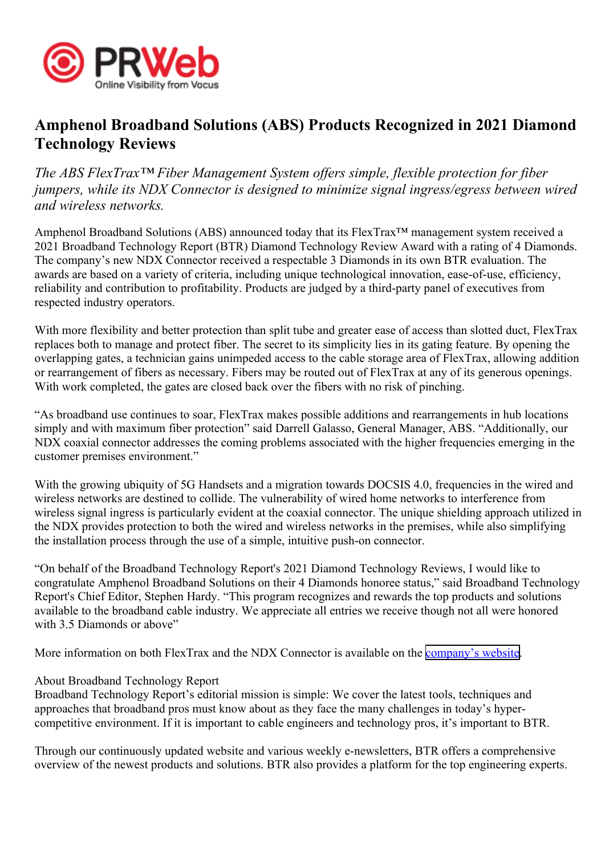

## **Amphenol Broadband Solutions (ABS) Products Recognized in 2021 Diamond Technology Reviews**

*The ABS FlexTrax™ Fiber Management System offers simple, flexible protection for fiber jumpers, while its NDX Connector is designed to minimize signal ingress/egress between wired and wireless networks.*

Amphenol Broadband Solutions (ABS) announced today that its FlexTrax<sup>™</sup> management system received a 2021 Broadband Technology Report (BTR) Diamond Technology Review Award with <sup>a</sup> rating of 4 Diamonds. The company's new NDX Connector received <sup>a</sup> respectable 3 Diamonds in its own BTR evaluation. The awards are based on <sup>a</sup> variety of criteria, including unique technological innovation, ease-of-use, efficiency, reliability and contribution to profitability. Products are judged by <sup>a</sup> third-party panel of executives from respected industry operators.

With more flexibility and better protection than split tube and greater ease of access than slotted duct, FlexTrax replaces both to manage and protect fiber. The secret to its simplicity lies in its gating feature. By opening the overlapping gates, <sup>a</sup> technician gains unimpeded access to the cable storage area of FlexTrax, allowing addition or rearrangemen<sup>t</sup> of fibers as necessary. Fibers may be routed out of FlexTrax at any of its generous openings. With work completed, the gates are closed back over the fibers with no risk of pinching.

"As broadband use continues to soar, FlexTrax makes possible additions and rearrangements in hub locations simply and with maximum fiber protection" said Darrell Galasso, General Manager, ABS. "Additionally, our NDX coaxial connector addresses the coming problems associated with the higher frequencies emerging in the customer premises environment."

With the growing ubiquity of 5G Handsets and a migration towards DOCSIS 4.0, frequencies in the wired and wireless networks are destined to collide. The vulnerability of wired home networks to interference from wireless signal ingress is particularly evident at the coaxial connector. The unique shielding approach utilized in the NDX provides protection to both the wired and wireless networks in the premises, while also simplifying the installation process through the use of <sup>a</sup> simple, intuitive push-on connector.

"On behalf of the Broadband Technology Report's 2021 Diamond Technology Reviews, I would like to congratulate Amphenol Broadband Solutions on their 4 Diamonds honoree status," said Broadband Technology Report's Chief Editor, Stephen Hardy. "This program recognizes and rewards the top products and solutions available to the broadband cable industry. We appreciate all entries we receive though not all were honored with 3.5 Diamonds or above"

More information on both FlexTrax and the NDX Connector is available on the [company](https://www.amphenolbroadband.com)'s website.

## About Broadband Technology Report

Broadband Technology Report's editorial mission is simple: We cover the latest tools, techniques and approaches that broadband pros must know about as they face the many challenges in today's hypercompetitive environment. If it is important to cable engineers and technology pros, it's important to BTR.

Through our continuously updated website and various weekly e-newsletters, BTR offers <sup>a</sup> comprehensive overview of the newest products and solutions. BTR also provides <sup>a</sup> platform for the top engineering experts.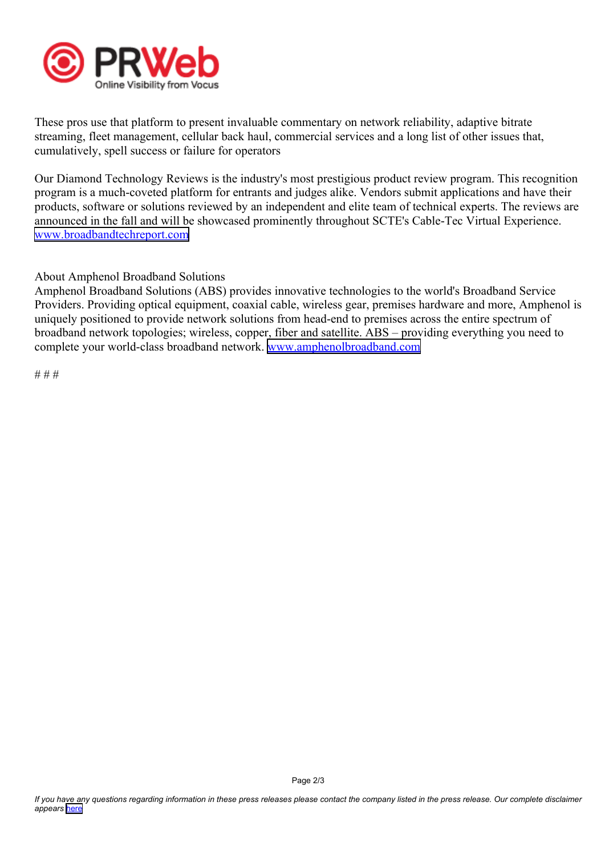

These pros use that platform to presen<sup>t</sup> invaluable commentary on network reliability, adaptive bitrate streaming, fleet management, cellular back haul, commercial services and <sup>a</sup> long list of other issues that, cumulatively, spell success or failure for operators

Our Diamond Technology Reviews is the industry's most prestigious product review program. This recognition program is <sup>a</sup> much-coveted platform for entrants and judges alike. Vendors submit applications and have their products, software or solutions reviewed by an independent and elite team of technical experts. The reviews are announced in the fall and will be showcased prominently throughout SCTE's Cable-Tec Virtual Experience. [www.broadbandtechreport.com](https://www.broadbandtechreport.com)

About Amphenol Broadband Solutions

Amphenol Broadband Solutions (ABS) provides innovative technologies to the world's Broadband Service Providers. Providing optical equipment, coaxial cable, wireless gear, premises hardware and more, Amphenol is uniquely positioned to provide network solutions from head-end to premises across the entire spectrum of broadband network topologies; wireless, copper, fiber and satellite. ABS – providing everything you need to complete your world-class broadband network. www.amp[henolbroadband.com](https://www.amphenolbroadband.com)

# # #